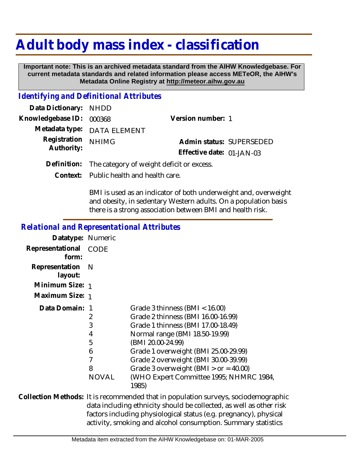# **Adult body mass index - classification**

 **Important note: This is an archived metadata standard from the AIHW Knowledgebase. For current metadata standards and related information please access METeOR, the AIHW's Metadata Online Registry at http://meteor.aihw.gov.au**

## *Identifying and Definitional Attributes*

| Data Dictionary: NHDD    |                             |                           |  |
|--------------------------|-----------------------------|---------------------------|--|
| Knowledgebase ID: 000368 |                             | Version number: 1         |  |
|                          | Metadata type: DATA ELEMENT |                           |  |
| Registration NHIMG       |                             | Admin status: SUPERSEDED  |  |
| Authority:               |                             | Effective date: 01-JAN-03 |  |
|                          |                             |                           |  |

**Definition:** The category of weight deficit or excess.

Public health and health care. **Context:**

> BMI is used as an indicator of both underweight and, overweight and obesity, in sedentary Western adults. On a population basis there is a strong association between BMI and health risk.

## *Relational and Representational Attributes*

| Datatype: Numeric         |              |                                                  |
|---------------------------|--------------|--------------------------------------------------|
| Representational<br>form: | CODE         |                                                  |
| Representation<br>layout: | - N          |                                                  |
| Minimum Size: 1           |              |                                                  |
| Maximum Size: 1           |              |                                                  |
| Data Domain: 1            |              | Grade 3 thinness (BMI $<$ 16.00)                 |
|                           | 2            | Grade 2 thinness (BMI 16.00-16.99)               |
|                           | 3            | Grade 1 thinness (BMI 17.00-18.49)               |
|                           | 4            | Normal range (BMI 18.50-19.99)                   |
|                           | 5            | (BMI 20.00-24.99)                                |
|                           | 6            | Grade 1 overweight (BMI 25.00-29.99)             |
|                           | 7            | Grade 2 overweight (BMI 30.00-39.99)             |
|                           | 8            | Grade 3 overweight (BMI $>$ or = 40.00)          |
|                           | <b>NOVAL</b> | (WHO Expert Committee 1995; NHMRC 1984,<br>1985) |

Collection Methods: It is recommended that in population surveys, sociodemographic data including ethnicity should be collected, as well as other risk factors including physiological status (e.g. pregnancy), physical activity, smoking and alcohol consumption. Summary statistics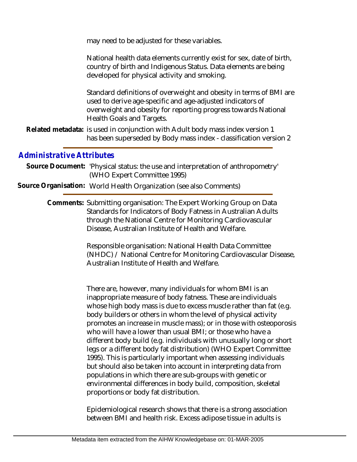may need to be adjusted for these variables.

| National health data elements currently exist for sex, date of birth, |  |
|-----------------------------------------------------------------------|--|
| country of birth and Indigenous Status. Data elements are being       |  |
| developed for physical activity and smoking.                          |  |

Standard definitions of overweight and obesity in terms of BMI are used to derive age-specific and age-adjusted indicators of overweight and obesity for reporting progress towards National Health Goals and Targets.

Related metadata: is used in conjunction with Adult body mass index version 1 has been superseded by Body mass index - classification version 2

#### *Administrative Attributes*

- Source Document: 'Physical status: the use and interpretation of anthropometry' (WHO Expert Committee 1995)
- **Source Organisation:** World Health Organization (see also Comments)

Comments: Submitting organisation: The Expert Working Group on Data Standards for Indicators of Body Fatness in Australian Adults through the National Centre for Monitoring Cardiovascular Disease, Australian Institute of Health and Welfare.

> Responsible organisation: National Health Data Committee (NHDC) / National Centre for Monitoring Cardiovascular Disease, Australian Institute of Health and Welfare.

> There are, however, many individuals for whom BMI is an inappropriate measure of body fatness. These are individuals whose high body mass is due to excess muscle rather than fat (e.g. body builders or others in whom the level of physical activity promotes an increase in muscle mass); or in those with osteoporosis who will have a lower than usual BMI; or those who have a different body build (e.g. individuals with unusually long or short legs or a different body fat distribution) (WHO Expert Committee 1995). This is particularly important when assessing individuals but should also be taken into account in interpreting data from populations in which there are sub-groups with genetic or environmental differences in body build, composition, skeletal proportions or body fat distribution.

Epidemiological research shows that there is a strong association between BMI and health risk. Excess adipose tissue in adults is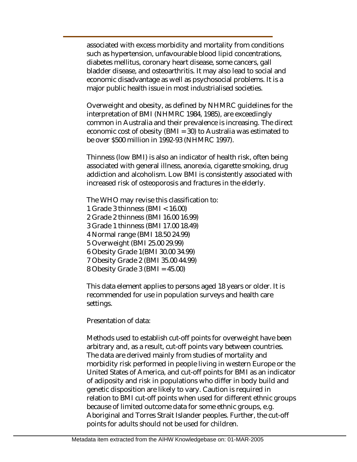associated with excess morbidity and mortality from conditions such as hypertension, unfavourable blood lipid concentrations, diabetes mellitus, coronary heart disease, some cancers, gall bladder disease, and osteoarthritis. It may also lead to social and economic disadvantage as well as psychosocial problems. It is a major public health issue in most industrialised societies.

Overweight and obesity, as defined by NHMRC guidelines for the interpretation of BMI (NHMRC 1984, 1985), are exceedingly common in Australia and their prevalence is increasing. The direct economic cost of obesity (BMI = 30) to Australia was estimated to be over \$500 million in 1992-93 (NHMRC 1997).

Thinness (low BMI) is also an indicator of health risk, often being associated with general illness, anorexia, cigarette smoking, drug addiction and alcoholism. Low BMI is consistently associated with increased risk of osteoporosis and fractures in the elderly.

The WHO may revise this classification to:

- 1 Grade 3 thinness (BMI < 16.00)
- 2 Grade 2 thinness (BMI 16.00 16.99)
- 3 Grade 1 thinness (BMI 17.00 18.49)
- 4 Normal range (BMI 18.50 24.99)
- 5 Overweight (BMI 25.00 29.99)
- 6 Obesity Grade 1(BMI 30.00 34.99)
- 7 Obesity Grade 2 (BMI 35.00 44.99)
- 8 Obesity Grade 3 (BMI = 45.00)

This data element applies to persons aged 18 years or older. It is recommended for use in population surveys and health care settings.

Presentation of data:

Methods used to establish cut-off points for overweight have been arbitrary and, as a result, cut-off points vary between countries. The data are derived mainly from studies of mortality and morbidity risk performed in people living in western Europe or the United States of America, and cut-off points for BMI as an indicator of adiposity and risk in populations who differ in body build and genetic disposition are likely to vary. Caution is required in relation to BMI cut-off points when used for different ethnic groups because of limited outcome data for some ethnic groups, e.g. Aboriginal and Torres Strait Islander peoples. Further, the cut-off points for adults should not be used for children.